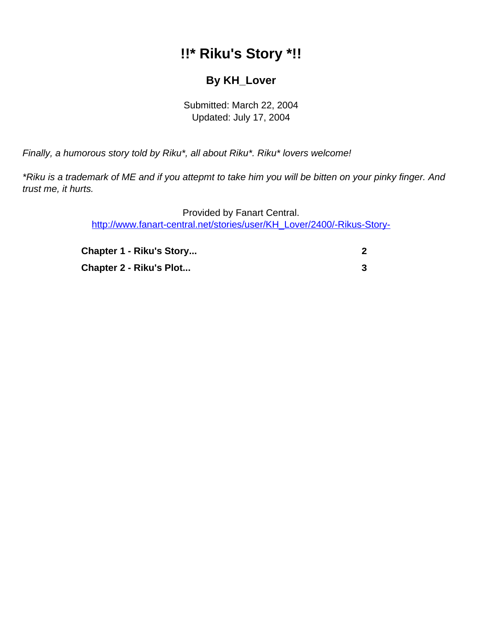## **!!\* Riku's Story \*!!**

## **By KH\_Lover**

Submitted: March 22, 2004 Updated: July 17, 2004

<span id="page-0-0"></span>Finally, a humorous story told by Riku\*, all about Riku\*. Riku\* lovers welcome!

\*Riku is a trademark of ME and if you attepmt to take him you will be bitten on your pinky finger. And trust me, it hurts.

> Provided by Fanart Central. [http://www.fanart-central.net/stories/user/KH\\_Lover/2400/-Rikus-Story-](#page-0-0)

| <b>Chapter 1 - Riku's Story</b> |  |
|---------------------------------|--|
| Chapter 2 - Riku's Plot         |  |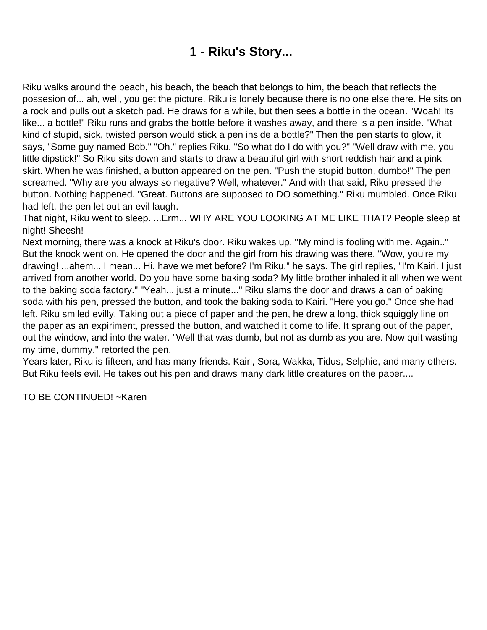## **1 - Riku's Story...**

<span id="page-1-0"></span>Riku walks around the beach, his beach, the beach that belongs to him, the beach that reflects the possesion of... ah, well, you get the picture. Riku is lonely because there is no one else there. He sits on a rock and pulls out a sketch pad. He draws for a while, but then sees a bottle in the ocean. "Woah! Its like... a bottle!" Riku runs and grabs the bottle before it washes away, and there is a pen inside. "What kind of stupid, sick, twisted person would stick a pen inside a bottle?" Then the pen starts to glow, it says, "Some guy named Bob." "Oh." replies Riku. "So what do I do with you?" "Well draw with me, you little dipstick!" So Riku sits down and starts to draw a beautiful girl with short reddish hair and a pink skirt. When he was finished, a button appeared on the pen. "Push the stupid button, dumbo!" The pen screamed. "Why are you always so negative? Well, whatever." And with that said, Riku pressed the button. Nothing happened. "Great. Buttons are supposed to DO something." Riku mumbled. Once Riku had left, the pen let out an evil laugh.

That night, Riku went to sleep. ...Erm... WHY ARE YOU LOOKING AT ME LIKE THAT? People sleep at night! Sheesh!

Next morning, there was a knock at Riku's door. Riku wakes up. "My mind is fooling with me. Again.." But the knock went on. He opened the door and the girl from his drawing was there. "Wow, you're my drawing! ...ahem... I mean... Hi, have we met before? I'm Riku." he says. The girl replies, "I'm Kairi. I just arrived from another world. Do you have some baking soda? My little brother inhaled it all when we went to the baking soda factory." "Yeah... just a minute..." Riku slams the door and draws a can of baking soda with his pen, pressed the button, and took the baking soda to Kairi. "Here you go." Once she had left, Riku smiled evilly. Taking out a piece of paper and the pen, he drew a long, thick squiggly line on the paper as an expiriment, pressed the button, and watched it come to life. It sprang out of the paper, out the window, and into the water. "Well that was dumb, but not as dumb as you are. Now quit wasting my time, dummy." retorted the pen.

Years later, Riku is fifteen, and has many friends. Kairi, Sora, Wakka, Tidus, Selphie, and many others. But Riku feels evil. He takes out his pen and draws many dark little creatures on the paper....

TO BE CONTINUED! ~Karen